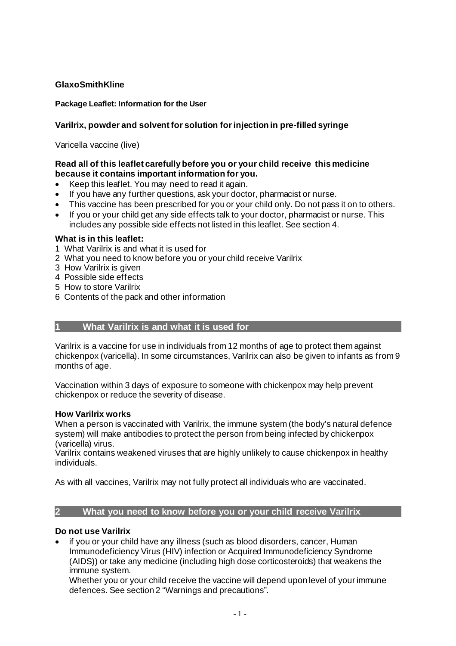# **GlaxoSmithKline**

## **Package Leaflet: Information for the User**

## **Varilrix, powder and solvent for solution for injection in pre-filled syringe**

Varicella vaccine (live)

## **Read all of this leaflet carefully before you or your child receive this medicine because it contains important information for you.**

- Keep this leaflet. You may need to read it again.
- If you have any further questions, ask your doctor, pharmacist or nurse.
- This vaccine has been prescribed for you or your child only. Do not pass it on to others.
- If you or your child get any side effects talk to your doctor, pharmacist or nurse. This includes any possible side effects not listed in this leaflet. See section 4.

## **What is in this leaflet:**

- 1 What Varilrix is and what it is used for
- 2 What you need to know before you or your child receive Varilrix
- 3 How Varilrix is given
- 4 Possible side effects
- 5 How to store Varilrix
- 6 Contents of the pack and other information

## **1 What Varilrix is and what it is used for**

Varilrix is a vaccine for use in individuals from 12 months of age to protect them against chickenpox (varicella). In some circumstances, Varilrix can also be given to infants as from 9 months of age.

Vaccination within 3 days of exposure to someone with chickenpox may help prevent chickenpox or reduce the severity of disease.

## **How Varilrix works**

When a person is vaccinated with Varilrix, the immune system (the body's natural defence system) will make antibodies to protect the person from being infected by chickenpox (varicella) virus.

Varilrix contains weakened viruses that are highly unlikely to cause chickenpox in healthy individuals.

As with all vaccines, Varilrix may not fully protect all individuals who are vaccinated.

## **2 What you need to know before you or your child receive Varilrix**

## **Do not use Varilrix**

• if you or your child have any illness (such as blood disorders, cancer, Human Immunodeficiency Virus (HIV) infection or Acquired Immunodeficiency Syndrome (AIDS)) or take any medicine (including high dose corticosteroids) that weakens the immune system.

Whether you or your child receive the vaccine will depend upon level of your immune defences. See section 2 "Warnings and precautions".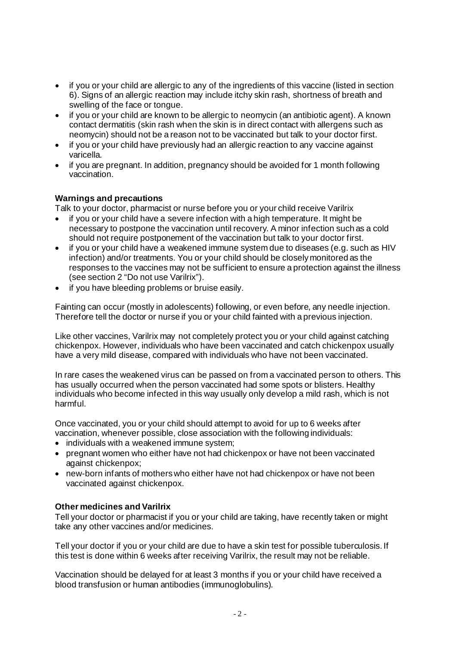- if you or your child are allergic to any of the ingredients of this vaccine (listed in section 6). Signs of an allergic reaction may include itchy skin rash, shortness of breath and swelling of the face or tongue.
- if you or your child are known to be allergic to neomycin (an antibiotic agent). A known contact dermatitis (skin rash when the skin is in direct contact with allergens such as neomycin) should not be a reason not to be vaccinated but talk to your doctor first.
- if you or your child have previously had an allergic reaction to any vaccine against varicella.
- if you are pregnant. In addition, pregnancy should be avoided for 1 month following vaccination.

## **Warnings and precautions**

Talk to your doctor, pharmacist or nurse before you or your child receive Varilrix

- if you or your child have a severe infection with a high temperature. It might be necessary to postpone the vaccination until recovery. A minor infection such as a cold should not require postponement of the vaccination but talk to your doctor first.
- if you or your child have a weakened immune system due to diseases (e.g. such as HIV infection) and/or treatments. You or your child should be closely monitored as the responses to the vaccines may not be sufficient to ensure a protection against the illness (see section 2 "Do not use Varilrix").
- if you have bleeding problems or bruise easily.

Fainting can occur (mostly in adolescents) following, or even before, any needle injection. Therefore tell the doctor or nurse if you or your child fainted with a previous injection.

Like other vaccines, Varilrix may not completely protect you or your child against catching chickenpox. However, individuals who have been vaccinated and catch chickenpox usually have a very mild disease, compared with individuals who have not been vaccinated.

In rare cases the weakened virus can be passed on from a vaccinated person to others. This has usually occurred when the person vaccinated had some spots or blisters. Healthy individuals who become infected in this way usually only develop a mild rash, which is not harmful.

Once vaccinated, you or your child should attempt to avoid for up to 6 weeks after vaccination, whenever possible, close association with the following individuals:

- individuals with a weakened immune system;
- pregnant women who either have not had chickenpox or have not been vaccinated against chickenpox;
- new-born infants of mothers who either have not had chickenpox or have not been vaccinated against chickenpox.

## **Other medicines and Varilrix**

Tell your doctor or pharmacist if you or your child are taking, have recently taken or might take any other vaccines and/or medicines.

Tell your doctor if you or your child are due to have a skin test for possible tuberculosis. If this test is done within 6 weeks after receiving Varilrix, the result may not be reliable.

Vaccination should be delayed for at least 3 months if you or your child have received a blood transfusion or human antibodies (immunoglobulins).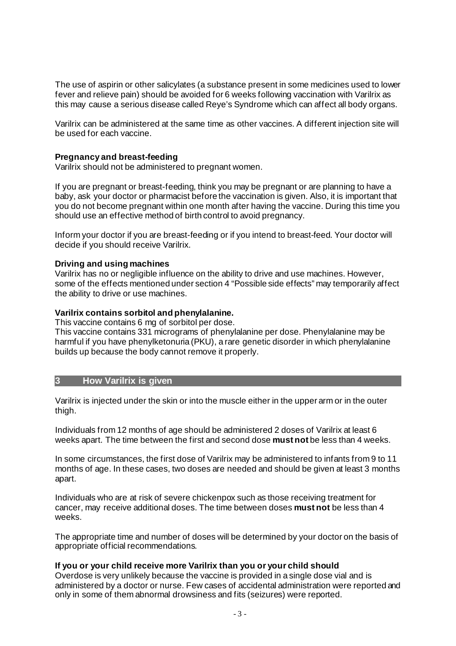The use of aspirin or other salicylates (a substance present in some medicines used to lower fever and relieve pain) should be avoided for 6 weeks following vaccination with Varilrix as this may cause a serious disease called Reye's Syndrome which can affect all body organs.

Varilrix can be administered at the same time as other vaccines. A different injection site will be used for each vaccine.

### **Pregnancy and breast-feeding**

Varilrix should not be administered to pregnant women.

If you are pregnant or breast-feeding, think you may be pregnant or are planning to have a baby, ask your doctor or pharmacist before the vaccination is given. Also, it is important that you do not become pregnant within one month after having the vaccine. During this time you should use an effective method of birth control to avoid pregnancy.

Inform your doctor if you are breast-feeding or if you intend to breast-feed. Your doctor will decide if you should receive Varilrix.

#### **Driving and using machines**

Varilrix has no or negligible influence on the ability to drive and use machines. However, some of the effects mentioned under section 4 "Possible side effects" may temporarily affect the ability to drive or use machines.

## **Varilrix contains sorbitol and phenylalanine.**

This vaccine contains 6 mg of sorbitol per dose.

This vaccine contains 331 micrograms of phenylalanine per dose. Phenylalanine may be harmful if you have phenylketonuria (PKU), a rare genetic disorder in which phenylalanine builds up because the body cannot remove it properly.

#### **3 How Varilrix is given**

Varilrix is injected under the skin or into the muscle either in the upper arm or in the outer thigh.

Individuals from 12 months of age should be administered 2 doses of Varilrix at least 6 weeks apart. The time between the first and second dose **must not** be less than 4 weeks.

In some circumstances, the first dose of Varilrix may be administered to infants from 9 to 11 months of age. In these cases, two doses are needed and should be given at least 3 months apart.

Individuals who are at risk of severe chickenpox such as those receiving treatment for cancer, may receive additional doses. The time between doses **must not** be less than 4 weeks.

The appropriate time and number of doses will be determined by your doctor on the basis of appropriate official recommendations.

#### **If you or your child receive more Varilrix than you or your child should**

Overdose is very unlikely because the vaccine is provided in a single dose vial and is administered by a doctor or nurse. Few cases of accidental administration were reported and only in some of them abnormal drowsiness and fits (seizures) were reported.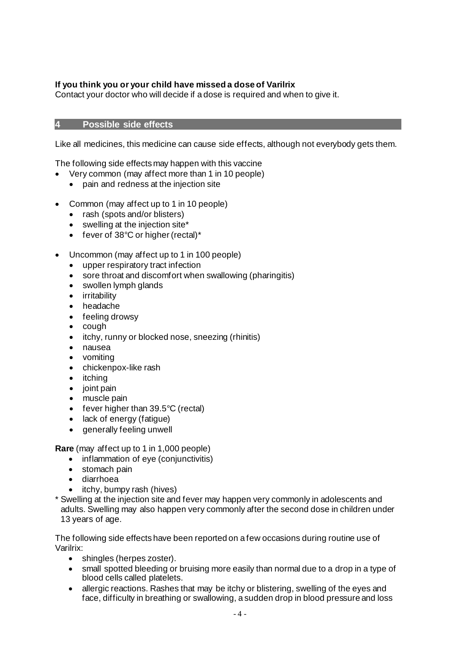# **If you think you or your child have missed a dose of Varilrix**

Contact your doctor who will decide if a dose is required and when to give it.

## **4 Possible side effects**

Like all medicines, this medicine can cause side effects, although not everybody gets them.

The following side effects may happen with this vaccine

- Very common (may affect more than 1 in 10 people)
	- pain and redness at the injection site
- Common (may affect up to 1 in 10 people)
	- rash (spots and/or blisters)
	- swelling at the injection site\*
	- fever of 38°C or higher (rectal)\*
- Uncommon (may affect up to 1 in 100 people)
	- upper respiratory tract infection
	- sore throat and discomfort when swallowing (pharingitis)
	- swollen lymph glands
	- irritability
	- headache
	- feeling drowsy
	- cough
	- itchy, runny or blocked nose, sneezing (rhinitis)
	- nausea
	- vomiting
	- chickenpox-like rash
	- itching
	- joint pain
	- muscle pain
	- fever higher than 39.5°C (rectal)
	- lack of energy (fatigue)
	- generally feeling unwell

**Rare** (may affect up to 1 in 1,000 people)

- inflammation of eye (conjunctivitis)
- stomach pain
- diarrhoea
- itchy, bumpy rash (hives)
- \* Swelling at the injection site and fever may happen very commonly in adolescents and adults. Swelling may also happen very commonly after the second dose in children under 13 years of age.

The following side effects have been reported on a few occasions during routine use of Varilrix:

- shingles (herpes zoster).
- small spotted bleeding or bruising more easily than normal due to a drop in a type of blood cells called platelets.
- allergic reactions. Rashes that may be itchy or blistering, swelling of the eyes and face, difficulty in breathing or swallowing, a sudden drop in blood pressure and loss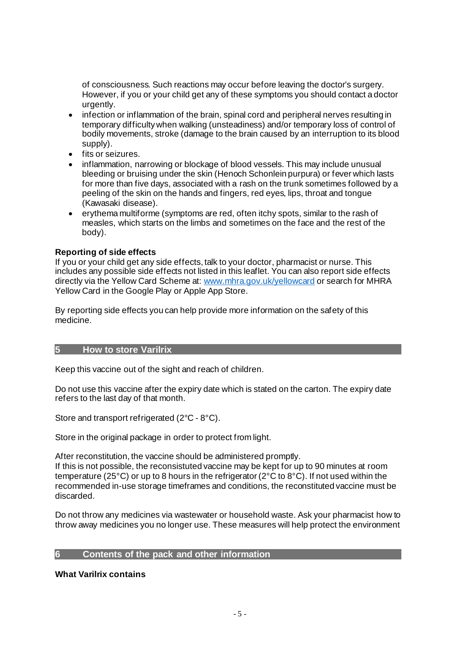of consciousness. Such reactions may occur before leaving the doctor's surgery. However, if you or your child get any of these symptoms you should contact a doctor urgently.

- infection or inflammation of the brain, spinal cord and peripheral nerves resulting in temporary difficulty when walking (unsteadiness) and/or temporary loss of control of bodily movements, stroke (damage to the brain caused by an interruption to its blood supply).
- fits or seizures.
- inflammation, narrowing or blockage of blood vessels. This may include unusual bleeding or bruising under the skin (Henoch Schonlein purpura) or fever which lasts for more than five days, associated with a rash on the trunk sometimes followed by a peeling of the skin on the hands and fingers, red eyes, lips, throat and tongue (Kawasaki disease).
- erythema multiforme (symptoms are red, often itchy spots, similar to the rash of measles, which starts on the limbs and sometimes on the face and the rest of the body).

## **Reporting of side effects**

If you or your child get any side effects, talk to your doctor, pharmacist or nurse. This includes any possible side effects not listed in this leaflet. You can also report side effects directly via the Yellow Card Scheme at: [www.mhra.gov.uk/yellowcard](http://www.mhra.gov.uk/yellowcard) or search for MHRA Yellow Card in the Google Play or Apple App Store.

By reporting side effects you can help provide more information on the safety of this medicine.

## **5 How to store Varilrix**

Keep this vaccine out of the sight and reach of children.

Do not use this vaccine after the expiry date which is stated on the carton. The expiry date refers to the last day of that month.

Store and transport refrigerated (2°C - 8°C).

Store in the original package in order to protect from light.

After reconstitution, the vaccine should be administered promptly. If this is not possible, the reconsistuted vaccine may be kept for up to 90 minutes at room temperature (25°C) or up to 8 hours in the refrigerator (2°C to 8°C). If not used within the recommended in-use storage timeframes and conditions, the reconstituted vaccine must be discarded.

Do not throw any medicines via wastewater or household waste. Ask your pharmacist how to throw away medicines you no longer use. These measures will help protect the environment

# **6 Contents of the pack and other information**

## **What Varilrix contains**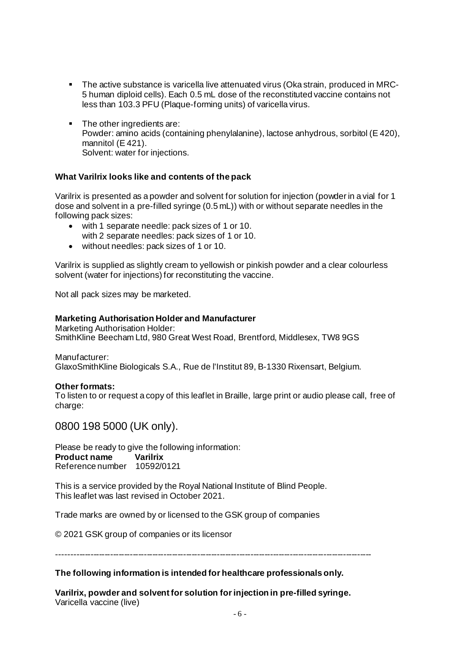- The active substance is varicella live attenuated virus (Oka strain, produced in MRC-5 human diploid cells). Each 0.5 mL dose of the reconstituted vaccine contains not less than 103.3 PFU (Plaque-forming units) of varicella virus.
- The other ingredients are: Powder: amino acids (containing phenylalanine), lactose anhydrous, sorbitol (E 420), mannitol (E 421). Solvent: water for injections.

## **What Varilrix looks like and contents of the pack**

Varilrix is presented as a powder and solvent for solution for injection (powder in a vial for 1 dose and solvent in a pre-filled syringe (0.5 mL)) with or without separate needles in the following pack sizes:

- with 1 separate needle: pack sizes of 1 or 10. with 2 separate needles: pack sizes of 1 or 10.
- without needles: pack sizes of 1 or 10.

Varilrix is supplied as slightly cream to yellowish or pinkish powder and a clear colourless solvent (water for injections) for reconstituting the vaccine.

Not all pack sizes may be marketed.

### **Marketing Authorisation Holder and Manufacturer**

Marketing Authorisation Holder: SmithKline Beecham Ltd, 980 Great West Road, Brentford, Middlesex, TW8 9GS

Manufacturer: GlaxoSmithKline Biologicals S.A., Rue de l'Institut 89, B-1330 Rixensart, Belgium.

#### **Other formats:**

To listen to or request a copy of this leaflet in Braille, large print or audio please call, free of charge:

0800 198 5000 (UK only).

Please be ready to give the following information: **Product name Varilrix**  Reference number 10592/0121

This is a service provided by the Royal National Institute of Blind People. This leaflet was last revised in October 2021.

Trade marks are owned by or licensed to the GSK group of companies

© 2021 GSK group of companies or its licensor

----------------------------------------------------------------------------------------------------------------

#### **The following information is intended for healthcare professionals only.**

**Varilrix, powder and solvent for solution for injection in pre-filled syringe.**  Varicella vaccine (live)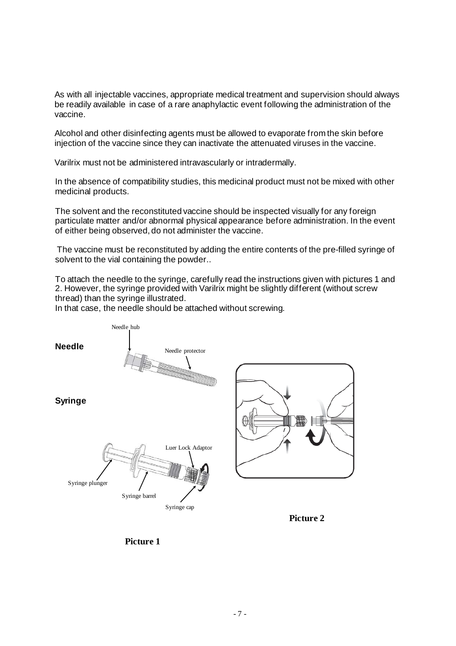As with all injectable vaccines, appropriate medical treatment and supervision should always be readily available in case of a rare anaphylactic event following the administration of the vaccine.

Alcohol and other disinfecting agents must be allowed to evaporate from the skin before injection of the vaccine since they can inactivate the attenuated viruses in the vaccine.

Varilrix must not be administered intravascularly or intradermally.

In the absence of compatibility studies, this medicinal product must not be mixed with other medicinal products.

The solvent and the reconstituted vaccine should be inspected visually for any foreign particulate matter and/or abnormal physical appearance before administration. In the event of either being observed, do not administer the vaccine.

The vaccine must be reconstituted by adding the entire contents of the pre-filled syringe of solvent to the vial containing the powder..

To attach the needle to the syringe, carefully read the instructions given with pictures 1 and 2. However, the syringe provided with Varilrix might be slightly different (without screw thread) than the syringe illustrated.

In that case, the needle should be attached without screwing.